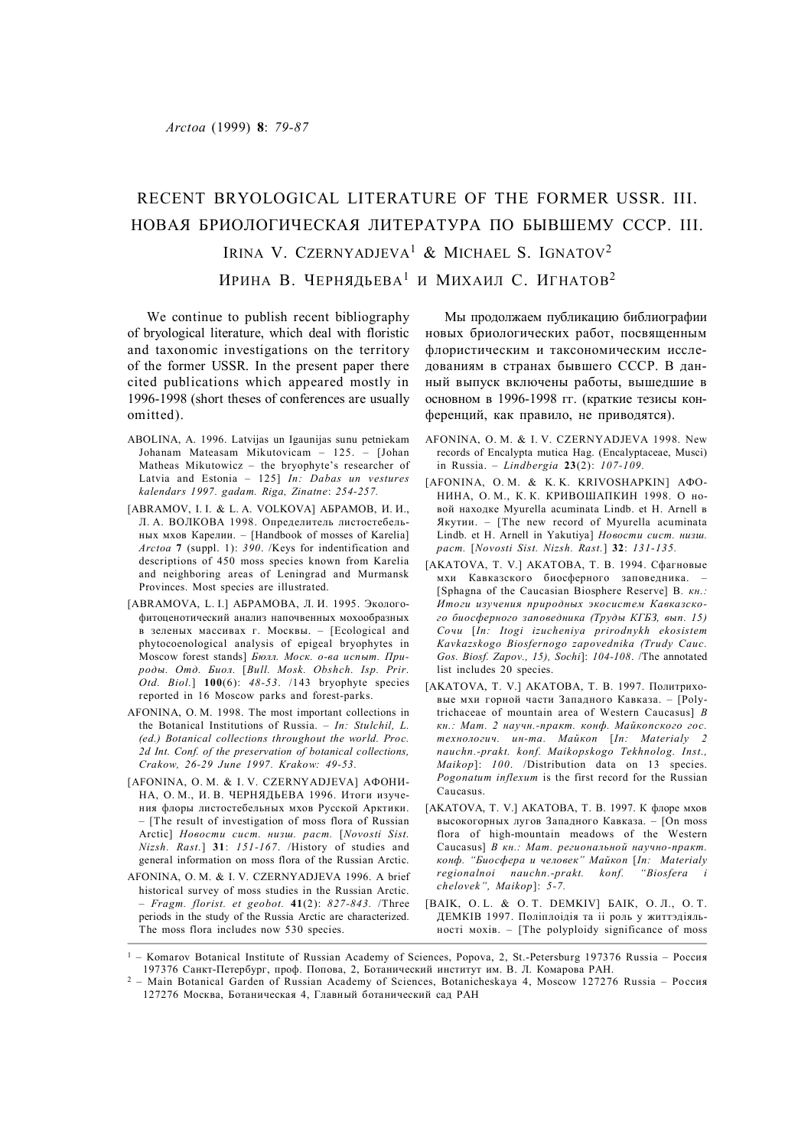## RECENT BRYOLOGICAL LITERATURE OF THE FORMER USSR. III. НОВАЯ БРИОЛОГИЧЕСКАЯ ЛИТЕРАТУРА ПО БЫВШЕМУ СССР. III.

Irina V. Czernyadjeva<sup>1</sup> & Michael S. Ignatov<sup>2</sup>

ИРИНА В. ЧЕРНЯДЬЕВА<sup>1</sup> И МИХАИЛ С. ИГНАТОВ<sup>2</sup>

We continue to publish recent bibliography of bryological literature, which deal with floristic and taxonomic investigations on the territory of the former USSR. In the present paper there cited publications which appeared mostly in 1996-1998 (short theses of conferences are usually omitted).

- ABOLINA, A. 1996. Latvijas un Igaunijas sunu petniekam Johanam Mateasam Mikutovicam – 125. – [Johan Matheas Mikutowicz – the bryophyte's researcher of Latvia and Estonia – 125] *In: Dabas un vestures kalendars 1997. gadam. Riga, Zinatne*: *254-257.*
- [ABRAMOV, I. I. & L. A. VOLKOVA] АБРАМОВ, И. И., Л. А. ВОЛКОВА 1998. Определитель листостебельных мхов Карелии. – [Handbook of mosses of Karelia] *Arctoa* **7** (suppl. 1): *390*. /Keys for indentification and descriptions of 450 moss species known from Karelia and neighboring areas of Leningrad and Murmansk Provinces. Most species are illustrated.
- [ABRAMOVA, L. I.] АБРАМОВА, Л. И. 1995. Экологофитоценотический анализ напочвенных мохообразных в зеленых массивах г. Москвы. – [Ecological and phytocoenological analysis of epigeal bryophytes in Moscow forest stands] *Бюлл. Моск. о-ва испыт. Природы. Отд. Биол.* [*Bull. Mosk. Obshch. Isp. Prir. Otd. Biol.*] **100**(6): *48-53*. /143 bryophyte species reported in 16 Moscow parks and forest-parks.
- AFONINA, O. M. 1998. The most important collections in the Botanical Institutions of Russia. – *In: Stulchil, L. (ed.) Botanical collections throughout the world. Proc. 2d Int. Conf. of the preservation of botanical collections, Crakow, 26-29 June 1997. Krakow: 49-53.*
- [AFONINA, O. M. & I. V. CZERNYADJEVA] АФОНИ-НА, О. М., И. В. ЧЕРНЯДЬЕВА 1996. Итоги изучения флоры листостебельных мхов Русской Арктики. – [The result of investigation of moss flora of Russian Arctic] *Новости сист. низш. раст.* [*Novosti Sist. Nizsh. Rast.*] **31**: *151-167*. /History of studies and general information on moss flora of the Russian Arctic.
- AFONINA, O. M. & I. V. CZERNYADJEVA 1996. A brief historical survey of moss studies in the Russian Arctic. – *Fragm. florist. et geobot.* **41**(2): *827-843.* /Three periods in the study of the Russia Arctic are characterized. The moss flora includes now 530 species.

Мы продолжаем публикацию библиографии новых бриологических работ, посвященным флористическим и таксономическим исследованиям в странах бывшего СССР. В данный выпуск включены работы, вышедшие в основном в 1996-1998 гг. (краткие тезисы конференций, как правило, не приводятся).

- AFONINA, O. M. & I. V. CZERNYADJEVA 1998. New records of Encalypta mutica Hag. (Encalyptaceae, Musci) in Russia. – *Lindbergia* **23**(2): *107-109.*
- [AFONINA, O. M. & K. K. KRIVOSHAPKIN] АФО-НИНА, О. М., К. К. КРИВОШАПКИН 1998. О новой находке Myurella acuminata Lindb. et H. Arnell в Якутии. – [The new record of Myurella acuminata Lindb. et H. Arnell in Yakutiya] *Новости сист. низш. раст.* [*Novosti Sist. Nizsh. Rast.*] **32**: *131-135.*
- [AKATOVA, T. V.] АКАТОВА, Т. В. 1994. Сфагновые мхи Кавказского биосферного заповедника. – [Sphagna of the Caucasian Biosphere Reserve] В*. кн.: Итоги изучения природных экосистем Кавказского биосферного заповедника (Труды КГБЗ, вып. 15) Сочи* [*In: Itogi izucheniya prirodnykh ekosistem Kavkazskogo Biosfernogo zapovednika (Trudy Cauc. Gos. Biosf. Zapov., 15), Sochi*]: *104-108*. /The annotated list includes 20 species.
- [AKATOVA, T. V.] АКАТОВА, Т. В. 1997. Политриховые мхи горной части Западного Кавказа. – [Polytrichaceae of mountain area of Western Caucasus] *В кн.: Мат. 2 научн.-практ. конф. Майкопского гос. технологич. ин-та. Майкоп* [*In: Materialy 2 nauchn.-prakt. konf. Maikopskogo Tekhnolog. Inst., Maikop*]: *100*. /Distribution data on 13 species. *Pogonatum inflexum* is the first record for the Russian Caucasus.
- [AKATOVA, T. V.] АКАТОВА, Т. В. 1997. К флоре мхов высокогорных лугов Западного Кавказа. – [On moss flora of high-mountain meadows of the Western Caucasus] *В кн.: Мат. региональной научно-практ. конф. "Биосфера и человек" Майкоп* [*In: Materialy regionalnoi nauchn.-prakt. konf. "Biosfera i chelovek", Maikop*]: *5-7.*
- [BAIK, O. L. & O. T. DEMKIV] БАIК, О. Л., О. Т. ДЕМКIВ 1997. Полiплоiдiя та ii роль у життэдiяльностi мохiв. – [The polyploidy significance of moss

<sup>1</sup> – Komarov Botanical Institute of Russian Academy of Sciences, Popova, 2, St.-Petersburg 197376 Russia – Россия 197376 Санкт-Петербург, проф. Попова, 2, Ботанический институт им. В. Л. Комарова РАН.

<sup>2</sup> – Main Botanical Garden of Russian Academy of Sciences, Botanicheskaya 4, Moscow 127276 Russia – Россия 127276 Москва, Ботаническая 4, Главный ботанический сад РАН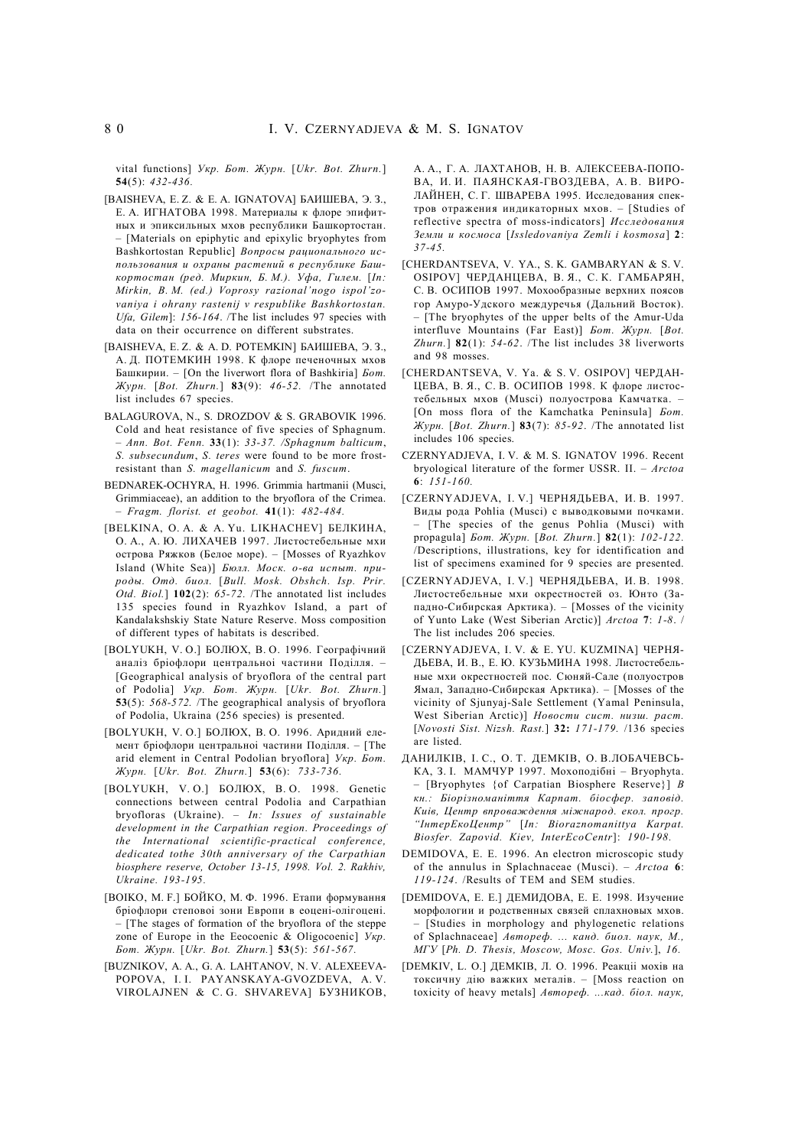vital functions] *Укр. Бот. Журн.* [*Ukr. Bot. Zhurn.*] **54**(5): *432-436.*

- [BAISHEVA, E. Z. & E. A. IGNATOVA] БАИШЕВА, Э. З., Е. А. ИГНАТОВА 1998. Материалы к флоре эпифитных и эпиксильных мхов республики Башкортостан. – [Materials on epiphytic and epixylic bryophytes from Bashkortostan Republic] *Вопросы рационального использования и охраны растений в республике Башкортостан (ред. Миркин, Б. М.). Уфа, Гилем.* [*In: Mirkin, B. M. (ed.) Voprosy razional'nogo ispol'zovaniya i ohrany rastenij v respublike Bashkortostan. Ufa, Gilem*]: *156-164*. /The list includes 97 species with data on their occurrence on different substrates.
- [BAISHEVA, E. Z. & A. D. POTEMKIN] БАИШЕВА, Э. З., А. Д. ПОТЕМКИН 1998. К флоре печеночных мхов Башкирии. – [On the liverwort flora of Bashkiria] *Бот. Журн.* [*Bot. Zhurn.*] **83**(9): *46-52.* /The annotated list includes 67 species.
- BALAGUROVA, N., S. DROZDOV & S. GRABOVIK 1996. Cold and heat resistance of five species of Sphagnum. – *Ann. Bot. Fenn.* **33**(1): *33-37. /Sphagnum balticum*, *S. subsecundum*, *S. teres* were found to be more frostresistant than *S. magellanicum* and *S. fuscum*.
- BEDNAREK-OCHYRA, H. 1996. Grimmia hartmanii (Musci, Grimmiaceae), an addition to the bryoflora of the Crimea. – *Fragm. florist. et geobot.* **41**(1): *482-484.*
- [BELKINA, O. A. & A. Yu. LIKHACHEV] БЕЛКИНА, О. А., А. Ю. ЛИХАЧЕВ 1997. Листостебельные мхи острова Ряжков (Белое море). – [Mosses of Ryazhkov Island (White Sea)] *Бюлл. Моск. о-ва испыт. природы. Отд. биол.* [*Bull. Mosk. Obshch. Isp. Prir. Otd. Biol.*] **102**(2): *65-72.* /The annotated list includes 135 species found in Ryazhkov Island, a part of Kandalakshskiy State Nature Reserve. Moss composition of different types of habitats is described.
- [BOLYUKH, V. O.] БОЛЮХ, В. О. 1996. Географiчний аналiз брiофлори центральноi частини Подiлля. – [Geographical analysis of bryoflora of the central part of Podolia] *Укр. Бот. Журн.* [*Ukr. Bot. Zhurn.*] **53**(5): *568-572.* /The geographical analysis of bryoflora of Podolia, Ukraina (256 species) is presented.
- [BOLYUKH, V. O.] БОЛЮХ, В. О. 1996. Аридний елемент брiофлори центральноi частини Подiлля. – [The arid element in Central Podolian bryoflora] *Укр. Бот. Журн.* [*Ukr. Bot. Zhurn.*] **53**(6): *733-736.*
- [BOLYUKH, V. O.] БОЛЮХ, В. О. 1998. Genetic connections between central Podolia and Carpathian bryofloras (Ukraine). – *In: Issues of sustainable development in the Carpathian region. Proceedings of the International scientific-practical conference, dedicated tothe 30th anniversary of the Carpathian biosphere reserve, October 13-15, 1998. Vol. 2. Rakhiv, Ukraine. 193-195.*
- [BOIKO, M. F.] БОЙКО, М. Ф. 1996. Етапи формування брiофлори степовоi зони Европи в еоценi-олiгоценi. – [The stages of formation of the bryoflora of the steppe zone of Europe in the Eeocoenic & Oligocoenic] *Укр. Бот. Журн.* [*Ukr. Bot. Zhurn.*] **53**(5): *561-567.*
- [BUZNIKOV, A. A., G. A. LAHTANOV, N. V. ALEXEEVA-POPOVA, I. I. PAYANSKAYA-GVOZDEVA, A. V. VIROLAJNEN & C. G. SHVAREVA] БУЗНИКОВ,

А. А., Г. А. ЛАХТАНОВ, Н. В. АЛЕКСЕЕВА-ПОПО-ВА, И. И. ПАЯНСКАЯ-ГВОЗДЕВА, А. В. ВИРО-ЛАЙНЕН, С. Г. ШВАРЕВА 1995. Исследования спектров отражения индикаторных мхов. – [Studies of reflective spectra of moss-indicators] *Исследования Земли и космоса* [*Issledovaniya Zemli i kosmosa*] **2**: *37-45.*

- [CHERDANTSEVA, V. YA., S. K. GAMBARYAN & S. V. OSIPOV] ЧЕРДАНЦЕВА, В. Я., С. К. ГАМБАРЯН, С. В. ОСИПОВ 1997. Мохообразные верхних поясов гор Амуро-Удского междуречья (Дальний Восток). – [The bryophytes of the upper belts of the Amur-Uda interfluve Mountains (Far East)] *Бот. Журн.* [*Bot. Zhurn.*] **82**(1): *54-62*. /The list includes 38 liverworts and 98 mosses.
- [CHERDANTSEVA, V. Ya. & S. V. OSIPOV] ЧЕРДАН-ЦЕВА, В. Я., С. В. ОСИПОВ 1998. К флоре листостебельных мхов (Musci) полуострова Камчатка. – [On moss flora of the Kamchatka Peninsula] *Бот. Журн.* [*Bot. Zhurn.*] **83**(7): *85-92*. /The annotated list includes 106 species.
- CZERNYADJEVA, I. V. & M. S. IGNATOV 1996. Recent bryological literature of the former USSR. II. – *Arctoa* **6**: *151-160.*
- [CZERNYADJEVA, I. V.] ЧЕРНЯДЬЕВА, И. В. 1997. Виды рода Pohlia (Musci) c выводковыми почками. – [The species of the genus Pohlia (Musci) with propagula] *Бот. Журн.* [*Bot. Zhurn.*] **82**(1): *102-122.* /Descriptions, illustrations, key for identification and list of specimens examined for 9 species are presented.
- [CZERNYADJEVA, I. V.] ЧЕРНЯДЬЕВА, И. В. 1998. Листостебельные мхи окрестностей оз. Юнто (Западно-Сибирская Арктика). – [Mosses of the vicinity of Yunto Lake (West Siberian Arctic)] *Arctoa* **7**: *1-8*. / The list includes 206 species.
- [CZERNYADJEVA, I. V. & E. YU. KUZMINA] ЧЕРНЯ-ДЬЕВА, И. В., Е. Ю. КУЗЬМИНА 1998. Листостебельные мхи окрестностей пос. Сюняй-Сале (полуостров Ямал, Западно-Сибирская Арктика). – [Mosses of the vicinity of Sjunyaj-Sale Settlement (Yamal Peninsula, West Siberian Arctic)] *Новости сист. низш. раст.* [*Novosti Sist. Nizsh. Rast.*] **32:** *171-179.* /136 species are listed.
- ДАНИЛКIВ, I. С., О. Т. ДЕМКIВ, О. В.ЛОБАЧЕВСЬ-КА, З. I. МАМЧУР 1997. Мохоподiбнi – Bryophyta. – [Bryophytes {of Carpatian Biosphere Reserve}] *В кн.: Бiорiзноманiття Карпат. бiосфер. заповiд. Киiв, Центр впроваждення мiжнарод. екол. прогр. "IнтерЕкоЦентр"* [*In: Bioraznomanittya Karpat. Biosfer. Zapovid. Kiev, InterEcoCentr*]: *190-198.*
- DEMIDOVA, E. E. 1996. An electron microscopic study of the annulus in Splachnaceae (Musci). – *Arctoa* **6**: *119-124*. /Results of TEM and SEM studies.
- [DEMIDOVA, E. E.] ДЕМИДОВА, Е. Е. 1998. Изучение морфологии и родственных связей сплахновых мхов. – [Studies in morphology and phylogenetic relations of Splachnaceae] *Автореф. ... канд. биол. наук, М., МГУ* [*Ph. D. Thesis, Moscow, Mosc. Gos. Univ.*], *16.*
- [DEMKIV, L. O.] ДЕМКIВ, Л. О. 1996. Реакцii мохiв на токсичну дiю важких металiв. – [Moss reaction on toxicity of heavy metals] *Автореф. ...кад. бiол. наук,*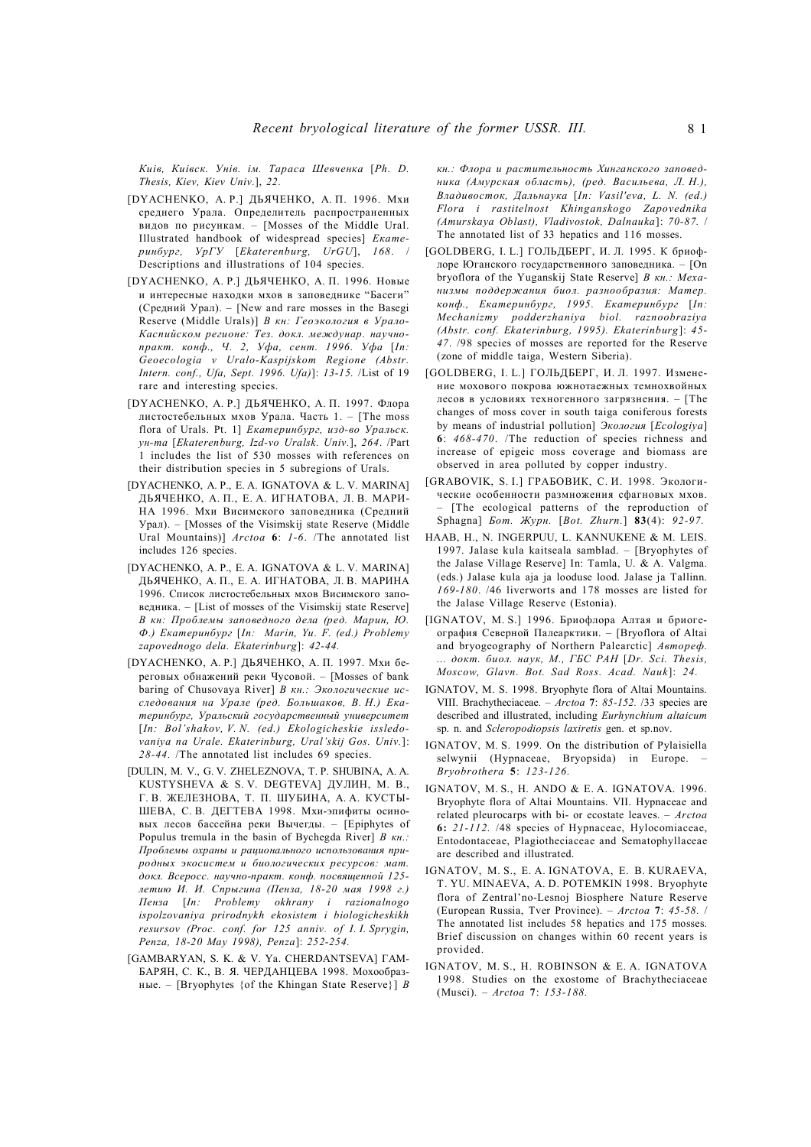*Киiв, Киiвск. Унiв. iм. Тараса Шевченка* [*Ph. D. Thesis, Kiev, Kiev Univ.*], *22.*

- [DYACHENKO, A. P.] ДЬЯЧЕНКО, А. П. 1996. Мхи среднего Урала. Определитель распространенных видов по рисункам. – [Mosses of the Middle Ural. Illustrated handbook of widespread species] *Екатеринбург, УрГУ* [*Ekaterenburg, UrGU*], *168*. / Descriptions and illustrations of 104 species.
- [DYACHENKO, A. P.] ДЬЯЧЕНКО, А. П. 1996. Новые и интересные находки мхов в заповеднике "Басеги" (Средний Урал). – [New and rare mosses in the Basegi Reserve (Middle Urals)] *В кн: Геоэкология в Урало-Каспийском регионе: Тез. докл. междунар. научнопракт. конф., Ч. 2, Уфа, сент. 1996. Уфа* [*In: Geoecologia v Uralo-Kaspijskom Regione (Abstr. Intern. conf., Ufa, Sept. 1996. Ufa)*]: *13-15.* /List of 19 rare and interesting species.
- [DYACHENKO, A. P.] ДЬЯЧЕНКО, А. П. 1997. Флора листостебельных мхов Урала. Часть 1. – [The moss flora of Urals. Pt. 1] *Екатеринбург, изд-во Уральск. ун-та* [*Ekaterenburg, Izd-vo Uralsk. Univ.*], *264*. /Part 1 includes the list of 530 mosses with references on their distribution species in 5 subregions of Urals.
- [DYACHENKO, A. P., E. A. IGNATOVA & L. V. MARINA] ДЬЯЧЕНКО, А. П., Е. А. ИГНАТОВА, Л. В. МАРИ-НА 1996. Мхи Висимского заповедника (Средний Урал). – [Mosses of the Visimskij state Reserve (Middle Ural Mountains)] *Arctoa* **6**: *1-6*. /The annotated list includes 126 species.
- [DYACHENKO, A. P., E. A. IGNATOVA & L. V. MARINA] ДЬЯЧЕНКО, А. П., Е. А. ИГНАТОВА, Л. В. МАРИНА 1996. Список листостебельных мхов Висимского заповедника. – [List of mosses of the Visimskij state Reserve] *В кн: Проблемы заповедного дела (ред. Марин, Ю. Ф.) Екатеринбург* [*In: Marin, Yu. F. (ed.) Problemy zapovednogo dela. Ekaterinburg*]: *42-44.*
- [DYACHENKO, A. P.] ДЬЯЧЕНКО, А. П. 1997. Мхи береговых обнажений реки Чусовой. – [Mosses of bank baring of Chusovaya River] *В кн.: Экологические исследования на Урале (ред. Большаков, В. Н.) Екатеринбург, Уральский государственный университет* [*In: Bol'shakov, V. N. (ed.) Ekologicheskie issledovaniya na Urale. Ekaterinburg, Ural'skij Gos. Univ.*]: *28-44.* /The annotated list includes 69 species.
- [DULIN, M. V., G. V. ZHELEZNOVA, T. P. SHUBINA, A. A. KUSTYSHEVA & S. V. DEGTEVA] ДУЛИН, М. В., Г. В. ЖЕЛЕЗНОВА, Т. П. ШУБИНА, А. А. КУСТЫ-ШЕВА, С. В. ДЕГТЕВА 1998. Мхи-эпифиты осиновых лесов бассейна реки Вычегды. – [Epiphytes of Populus tremula in the basin of Bychegda River] *В кн.: Проблемы охраны и рационального использования природных экосистем и биологических ресурсов: мат. докл. Всеросс. научно-практ. конф. посвященной 125 летию И. И. Спрыгина (Пенза, 18-20 мая 1998 г.) Пенза* [*In: Problemy okhrany i razionalnogo ispolzovaniya prirodnykh ekosistem i biologicheskikh resursov (Proc. conf. for 125 anniv. of I. I. Sprygin, Penza, 18-20 May 1998), Penza*]: *252-254.*
- [GAMBARYAN, S. K. & V. Ya. CHERDANTSEVA] ГАМ-БАРЯН, С. К., В. Я. ЧЕРДАНЦЕВА 1998. Мохообразные. – [Bryophytes {of the Khingan State Reserve}] *В*

*кн.: Флора и растительность Хинганского заповедника (Амурская область), (ред. Васильева, Л. Н.), Владивосток, Дальнаука* [*In: Vasil'eva, L. N. (ed.) Flora i rastitelnost Khinganskogo Zapovednika (Amurskaya Oblast), Vladivostok, Dalnauka*]: *70-87.* / The annotated list of 33 hepatics and 116 mosses.

- [GOLDBERG, I. L.] ГОЛЬДБЕРГ, И. Л. 1995. К бриофлоре Юганского государственного заповедника. – [On bryoflora of the Yuganskij State Reserve] *В кн.: Механизмы поддержания биол. разнообразия: Матер. конф., Екатеринбург, 1995. Екатеринбург* [*In: Mechanizmy podderzhaniya biol. raznoobraziya (Abstr. conf. Ekaterinburg, 1995). Ekaterinburg*]: *45- 47*. /98 species of mosses are reported for the Reserve (zone of middle taiga, Western Siberia).
- [GOLDBERG, I. L.] ГОЛЬДБЕРГ, И. Л. 1997. Изменение мохового покрова южнотаежных темнохвойных лесов в условиях техногенного загрязнения. – [The changes of moss cover in south taiga coniferous forests by means of industrial pollution] *Экология* [*Ecologiya*] **6**: *468-470*. /The reduction of species richness and increase of epigeic moss coverage and biomass are observed in area polluted by copper industry.
- [GRABOVIK, S. I.] ГРАБОВИК, С. И. 1998. Экологические особенности размножения сфагновых мхов. – [The ecological patterns of the reproduction of Sphagna] *Бот. Журн.* [*Bot. Zhurn.*] **83**(4): *92-97.*
- HAAB, H., N. INGERPUU, L. KANNUKENE & M. LEIS. 1997. Jalase kula kaitseala samblad. – [Bryophytes of the Jalase Village Reserve] In: Tamla, U. & A. Valgma. (eds.) Jalase kula aja ja looduse lood. Jalase ja Tallinn. *169-180*. /46 liverworts and 178 mosses are listed for the Jalase Village Reserve (Estonia).
- [IGNATOV, M. S.] 1996. Бриофлора Алтая и бриогеография Северной Палеарктики. – [Bryoflora of Altai and bryogeography of Northern Palearctic] *Автореф. ... докт. биол. наук, М., ГБС РАН* [*Dr. Sci. Thesis, Moscow, Glavn. Bot. Sad Ross. Acad. Nauk*]: *24.*
- IGNATOV, M. S. 1998. Bryophyte flora of Altai Mountains. VIII. Brachytheciaceae. *– Arctoa* **7**: *85-152.* /33 species are described and illustrated, including *Eurhynchium altaicum* sp. n. and *Scleropodiopsis laxiretis* gen. et sp.nov.
- IGNATOV, M. S. 1999. On the distribution of Pylaisiella selwynii (Hypnaceae, Bryopsida) in Europe. – *Bryobrothera* **5**: *123-126.*
- IGNATOV, M. S., H. ANDO & E. A. IGNATOVA. 1996. Bryophyte flora of Altai Mountains. VII. Hypnaceae and related pleurocarps with bi- or ecostate leaves. – *Arctoa* **6:** *21-112.* /48 species of Hypnaceae, Hylocomiaceae, Entodontaceae, Plagiotheciaceae and Sematophyllaceae are described and illustrated.
- IGNATOV, M. S., E. A. IGNATOVA, E. B. KURAEVA, T. YU. MINAEVA, A. D. POTEMKIN 1998. Bryophyte flora of Zentral'no-Lesnoj Biosphere Nature Reserve (European Russia, Tver Province). – *Arctoa* **7**: *45-58.* / The annotated list includes 58 hepatics and 175 mosses. Brief discussion on changes within 60 recent years is provided.
- IGNATOV, M. S., H. ROBINSON & E. A. IGNATOVA 1998. Studies on the exostome of Brachytheciaceae (Musci). – *Arctoa* **7**: *153-188.*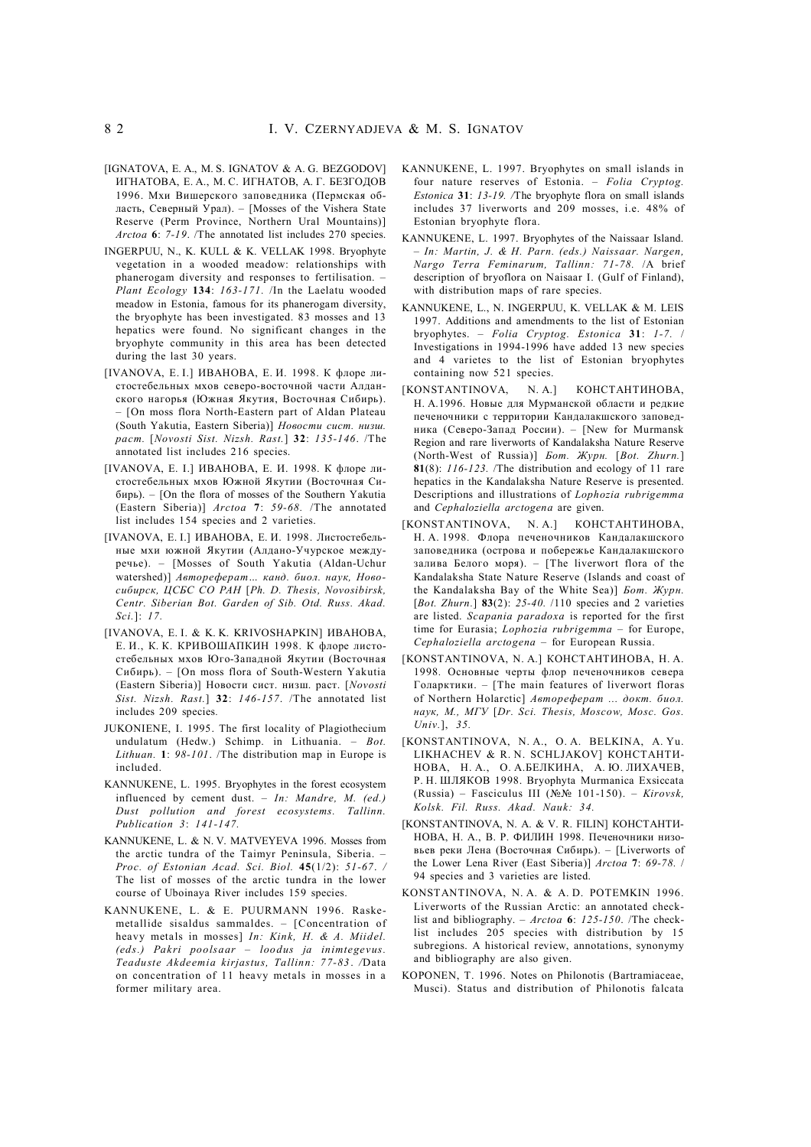- [IGNATOVA, E. A., M. S. IGNATOV & A. G. BEZGODOV] ИГНАТОВА, Е. А., М. С. ИГНАТОВ, А. Г. БЕЗГОДОВ 1996. Мхи Вишерского заповедника (Пермская область, Северный Урал). – [Mosses of the Vishera State Reserve (Perm Province, Northern Ural Mountains)] *Arctoa* **6**: *7-19*. /The annotated list includes 270 species.
- INGERPUU, N., K. KULL & K. VELLAK 1998. Bryophyte vegetation in a wooded meadow: relationships with phanerogam diversity and responses to fertilisation. – *Plant Ecology* **134**: *163-171.* /In the Laelatu wooded meadow in Estonia, famous for its phanerogam diversity, the bryophyte has been investigated. 83 mosses and 13 hepatics were found. No significant changes in the bryophyte community in this area has been detected during the last 30 years.
- [IVANOVA, E. I.] ИВАНОВА, Е. И. 1998. К флоре листостебельных мхов северо-восточной части Алданского нагорья (Южная Якутия, Восточная Сибирь). – [On moss flora North-Eastern part of Aldan Plateau (South Yakutia, Eastern Siberia)] *Новости сист. низш. раст.* [*Novosti Sist. Nizsh. Rast.*] **32**: *135-146*. /The annotated list includes 216 species.
- [IVANOVA, E. I.] ИВАНОВА, Е. И. 1998. К флоре листостебельных мхов Южной Якутии (Восточная Сибирь). – [On the flora of mosses of the Southern Yakutia (Eastern Siberia)] *Arctoa* **7**: *59-68.* /The annotated list includes 154 species and 2 varieties.
- [IVANOVA, E. I.] ИВАНОВА, Е. И. 1998. Листостебельные мхи южной Якутии (Алдано-Учурское междуречье). – [Mosses of South Yakutia (Aldan-Uchur watershed)] *Автореферат… канд. биол. наук, Новосибирск, ЦСБС СО РАН* [*Ph. D. Thesis, Novosibirsk, Centr. Siberian Bot. Garden of Sib. Otd. Russ. Akad. Sci.*]: *17.*
- [IVANOVA, E. I. & K. K. KRIVOSHAPKIN] ИВАНОВА, Е. И., К. К. КРИВОШАПКИН 1998. К флоре листостебельных мхов Юго-Западной Якутии (Восточная Сибирь). – [On moss flora of South-Western Yakutia (Eastern Siberia)] Новости сист. низш. раст. [*Novosti Sist. Nizsh. Rast.*] **32**: *146-157*. /The annotated list includes 209 species*.*
- JUKONIENE, I. 1995. The first locality of Plagiothecium undulatum (Hedw.) Schimp. in Lithuania. – *Bot. Lithuan.* **1**: *98-101*. /The distribution map in Europe is included.
- KANNUKENE, L. 1995. Bryophytes in the forest ecosystem influenced by cement dust. – *In: Mandre, M. (ed.) Dust pollution and forest ecosystems. Tallinn. Publication 3*: *141-147.*
- KANNUKENE, L. & N. V. MATVEYEVA 1996. Mosses from the arctic tundra of the Taimyr Peninsula, Siberia. – *Proc. of Estonian Acad. Sci. Biol.* **45**(1/2): *51-67*. */* The list of mosses of the arctic tundra in the lower course of Uboinaya River includes 159 species.
- KANNUKENE, L. & E. PUURMANN 1996. Raskemetallide sisaldus sammaldes. – [Concentration of heavy metals in mosses] *In: Kink, H. & A. Miidel. (eds.) Pakri poolsaar – loodus ja inimtegevus. Teaduste Akdeemia kirjastus, Tallinn: 77-83* . */*Data on concentration of 11 heavy metals in mosses in a former military area.
- KANNUKENE, L. 1997. Bryophytes on small islands in four nature reserves of Estonia. – *Folia Cryptog. Estonica* **31**: *13-19. /*The bryophyte flora on small islands includes 37 liverworts and 209 mosses, i.e. 48% of Estonian bryophyte flora.
- KANNUKENE, L. 1997. Bryophytes of the Naissaar Island. – *In: Martin, J. & H. Parn. (eds.) Naissaar. Nargen, Nargo Terra Feminarum, Tallinn: 71-78.* /A brief description of bryoflora on Naisaar I. (Gulf of Finland), with distribution maps of rare species.
- KANNUKENE, L., N. INGERPUU, K. VELLAK & M. LEIS 1997. Additions and amendments to the list of Estonian bryophytes. – *Folia Cryptog. Estonica* **31**: *1-7.* / Investigations in 1994-1996 have added 13 new species and 4 varietes to the list of Estonian bryophytes containing now 521 species.
- [KONSTANTINOVA, N. A.] КОНСТАНТИНОВА, Н. А.1996. Новые для Мурманской области и редкие печеночники с территории Кандалакшского заповедника (Северо-Запад России). – [New for Murmansk Region and rare liverworts of Kandalaksha Nature Reserve (North-West of Russia)] *Бот. Журн.* [*Bot. Zhurn.*] **81**(8): *116-123.* /The distribution and ecology of 11 rare hepatics in the Kandalaksha Nature Reserve is presented. Descriptions and illustrations of *Lophozia rubrigemma* and *Cephaloziella arctogena* are given.
- [KONSTANTINOVA, N. A.] КОНСТАНТИНОВА, Н. А. 1998*.* Флора печеночников Кандалакшского заповедника (острова и побережье Кандалакшского залива Белого моря). – [The liverwort flora of the Kandalaksha State Nature Reserve (Islands and coast of the Kandalaksha Bay of the White Sea)] *Бот. Журн.* [*Bot. Zhurn.*] **83**(2): *25-40.* /110 species and 2 varieties are listed. *Scapania paradoxa* is reported for the first time for Eurasia; *Lophozia rubrigemma* – for Europe, *Cephaloziella arctogena* – for European Russia.
- [KONSTANTINOVA, N. A.] КОНСТАНТИНОВА, Н. А. 1998*.* Основные черты флор печеночников севера Голарктики. – [The main features of liverwort floras of Northern Holarctic] *Автореферат ... докт. биол. наук, М., МГУ* [*Dr. Sci. Thesis, Moscow, Mosc. Gos. Univ.*], *35.*
- [KONSTANTINOVA, N. A., O. A. BELKINA, A. Yu. LIKHACHEV & R. N. SCHLJAKOV] КОНСТАНТИ-НОВА, Н. А., О. А.БЕЛКИНА, А. Ю. ЛИХАЧЕВ, Р. Н. ШЛЯКОВ 1998. Bryophyta Murmanica Exsiccata (Russia) – Fasciculus III (№№ 101-150). – *Kirovsk, Kolsk. Fil. Russ. Akad. Nauk: 34.*
- [KONSTANTINOVA, N. A. & V. R. FILIN] КОНСТАНТИ-НОВА, Н. А., В. Р. ФИЛИН 1998. Печеночники низовьев реки Лена (Восточная Сибирь). – [Liverworts of the Lower Lena River (East Siberia)] *Arctoa* **7**: *69-78.* / 94 species and 3 varieties are listed.
- KONSTANTINOVA, N. A. & A. D. POTEMKIN 1996. Liverworts of the Russian Arctic: an annotated checklist and bibliography. – *Arctoa* **6**: *125-150*. /The checklist includes 205 species with distribution by 15 subregions. A historical review, annotations, synonymy and bibliography are also given.
- KOPONEN, T. 1996. Notes on Philonotis (Bartramiaceae, Musci). Status and distribution of Philonotis falcata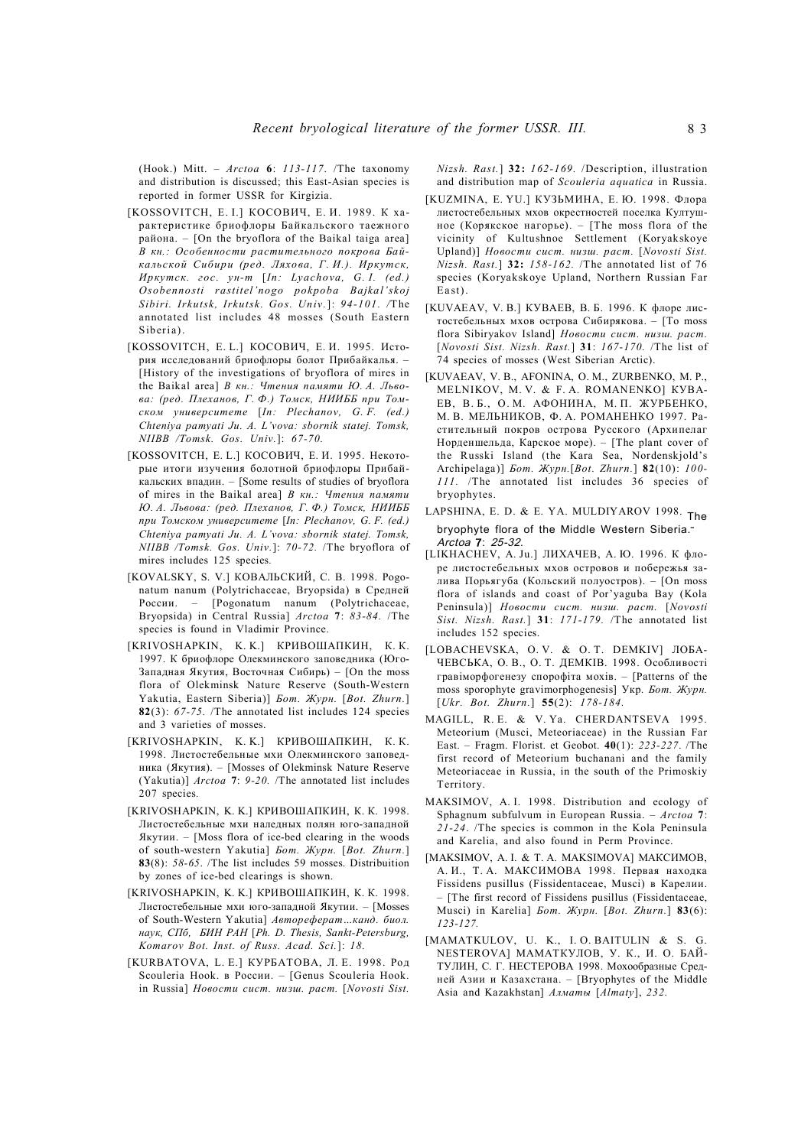(Hook.) Mitt. – *Arctoa* **6**: *113-117*. /The taxonomy and distribution is discussed; this East-Asian species is reported in former USSR for Kirgizia.

- [KOSSOVITCH, E. I.] КОСОВИЧ, Е. И. 1989. К характеристике бриофлоры Байкальского таежного района. – [On the bryoflora of the Baikal taiga area] *В кн.: Особенности растительного покрова Байкальской Сибири (ред. Ляхова, Г. И.). Иркутск, Иркутск. гос. ун-т* [*In: Lyachova, G. I. (ed.) Osobennosti rastitel'nogo pokpoba Bajkal'skoj Sibiri. Irkutsk, Irkutsk. Gos. Univ.*]: *94-101. /*The annotated list includes 48 mosses (South Eastern Siberia).
- [KOSSOVITCH, E. L.] КОСОВИЧ, Е. И. 1995. История исследований бриофлоры болот Прибайкалья. – [History of the investigations of bryoflora of mires in the Baikal area] *В кн.: Чтения памяти Ю. А. Львова: (ред. Плеханов, Г. Ф.) Томск, НИИББ при Томском университете* [*In: Plechanov, G. F. (ed.) Chteniya pamyati Ju. A. L'vova: sbornik statej. Tomsk, NIIBB /Tomsk. Gos. Univ.*]: *67-70.*
- [KOSSOVITCH, E. L.] КОСОВИЧ, Е. И. 1995. Некоторые итоги изучения болотной бриофлоры Прибайкальских впадин. – [Some results of studies of bryoflora of mires in the Baikal area] *В кн.: Чтения памяти Ю. А. Львова: (ред. Плеханов, Г. Ф.) Томск, НИИББ при Томском университете* [*In: Plechanov, G. F. (ed.) Chteniya pamyati Ju. A. L'vova: sbornik statej. Tomsk, NIIBB /Tomsk. Gos. Univ.*]: *70-72.* /The bryoflora of mires includes 125 species*.*
- [KOVALSKY, S. V.] КОВАЛЬСКИЙ, С. В. 1998. Pogonatum nanum (Polytrichaceae, Bryopsida) в Средней России. – [Pogonatum nanum (Polytrichaceae, Bryopsida) in Central Russia] *Arctoa* **7**: *83-84.* /The species is found in Vladimir Province.
- [KRIVOSHAPKIN, K. K.] КРИВОШАПКИН, К. К. 1997. К бриофлоре Олекминского заповедника (Юго-Западная Якутия, Восточная Сибирь) – [On the moss flora of Olekminsk Nature Reserve (South-Western Yakutia, Eastern Siberia)] *Бот. Журн.* [*Bot. Zhurn.*] **82**(3): *67-75.* /The annotated list includes 124 species and 3 varieties of mosses.
- [KRIVOSHAPKIN, K. K.] КРИВОШАПКИН, К. К. 1998. Листостебельные мхи Олекминского заповедника (Якутия). – [Mosses of Olekminsk Nature Reserve (Yakutia)] *Arctoa* **7**: *9-20.* /The annotated list includes 207 species*.*
- [KRIVOSHAPKIN, K. K.] КРИВОШАПКИН, К. К. 1998. Листостебельные мхи наледных полян юго-западной Якутии. – [Moss flora of ice-bed clearing in the woods of south-western Yakutia] *Бот. Журн.* [*Bot. Zhurn.*] **83**(8): *58-65*. /The list includes 59 mosses. Distribuition by zones of ice-bed clearings is shown.
- [KRIVOSHAPKIN, K. K.] КРИВОШАПКИН, К. К. 1998. Листостебельные мхи юго-западной Якутии. – [Mosses of South-Western Yakutia] *Автореферат…канд. биол. наук, СПб, БИН РАН* [*Ph. D. Thesis, Sankt-Petersburg, Komarov Bot. Inst. of Russ. Acad. Sci.*]: *18.*
- [KURBATOVA, L. E.] КУРБАТОВА, Л. Е. 1998. Род Scouleria Hook. в России. – [Genus Scouleria Hook. in Russia] *Новости сист. низш. раст.* [*Novosti Sist.*

*Nizsh. Rast.*] **32:** *162-169.* /Description, illustration and distribution map of *Scouleria aquatica* in Russia.

- [KUZMINA, E. YU.] КУЗЬМИНА, Е. Ю. 1998. Флора листостебельных мхов окрестностей поселка Култушное (Корякское нагорье). – [The moss flora of the vicinity of Kultushnoe Settlement (Koryakskoye Upland)] *Новости сист. низш. раст.* [*Novosti Sist. Nizsh. Rast.*] **32:** *158-162.* /The annotated list of 76 species (Koryakskoye Upland, Northern Russian Far Ea st).
- [KUVAEAV, V. B.] КУВАЕВ, В. Б. 1996. К флоре листостебельных мхов острова Сибирякова. – [To moss flora Sibiryakov Island] *Новости сист. низш. раст.* [*Novosti Sist. Nizsh. Rast.*] **31**: *167-170.* /The list of 74 species of mosses (West Siberian Arctic).
- [KUVAEAV, V. B., AFONINA, O. M., ZURBENKO, M. P., MELNIKOV, M. V. & F. A. ROMANENKO] КУВА-ЕВ, В. Б., О. М., АФОНИНА, М. П., ЖУРБЕНКО, М. В. МЕЛЬНИКОВ, Ф. А. РОМАНЕНКО 1997. Растительный покров острова Русского (Архипелаг Норденшельда, Карское море). – [The plant cover of the Russki Island (the Kara Sea, Nordenskjold's Archipelaga)] *Бот. Журн.*[*Bot. Zhurn.*] **82**(10): *100- 111.* /The annotated list includes 36 species of bryophytes.
- LAPSHINA, E. D. & E. YA. MULDIYAROV 1998. The bryophyte flora of the Middle Western Siberia. – *Arctoa* **7**: *25-32.*
- [LIKHACHEV, A. Ju.] ЛИХАЧЕВ, А. Ю. 1996. К флоре листостебельных мхов островов и побережья залива Порьягуба (Кольский полуостров). – [On moss flora of islands and coast of Por'yaguba Bay (Kola Peninsula)] *Новости сист. низш. раст.* [*Novosti Sist. Nizsh. Rast.*] **31**: *171-179.* /The annotated list includes 152 species.
- [LOBACHEVSKA, O. V. & O. T. DEMKIV] ЛОБА-ЧЕВСЬКА, О. В., О. Т. ДЕМКIВ. 1998. Особливостi гравiморфогенезу спорофiта мохiв. – [Patterns of the moss sporophyte gravimorphogenesis] Укр. *Бот. Журн.* [*Ukr. Bot. Zhurn.*] **55**(2): *178-184.*
- MAGILL, R. E. & V. Ya. CHERDANTSEVA 1995. Meteorium (Musci, Meteoriaceae) in the Russian Far East. – Fragm. Florist. et Geobot. **40**(1): *223-227*. /The first record of Meteorium buchanani and the family Meteoriaceae in Russia, in the south of the Primoskiy Territory.
- MAKSIMOV, A. I. 1998. Distribution and ecology of Sphagnum subfulvum in European Russia. – *Arctoa* **7**: *21-24*. /The species is common in the Kola Peninsula and Karelia, and also found in Perm Province.
- [MAKSIMOV, A. I. & T. A. MAKSIMOVA] МАКСИМОВ, А. И., Т. А. МАКСИМОВА 1998. Первая находка Fissidens pusillus (Fissidentaceae, Musci) в Карелии. – [The first record of Fissidens pusillus (Fissidentaceae, Musci) in Karelia] *Бот. Журн.* [*Bot. Zhurn.*] **83**(6): *123-127.*
- [MAMATKULOV, U. K., I. O. BAITULIN & S. G. NESTEROVA] МАМАТКУЛОВ, У. К., И. О. БАЙ-ТУЛИН, С. Г. НЕСТЕРОВА 1998. Мохообразные Средней Азии и Казахстана. – [Bryophytes of the Middle Asia and Kazakhstan] *Алматы* [*Almaty*], *232.*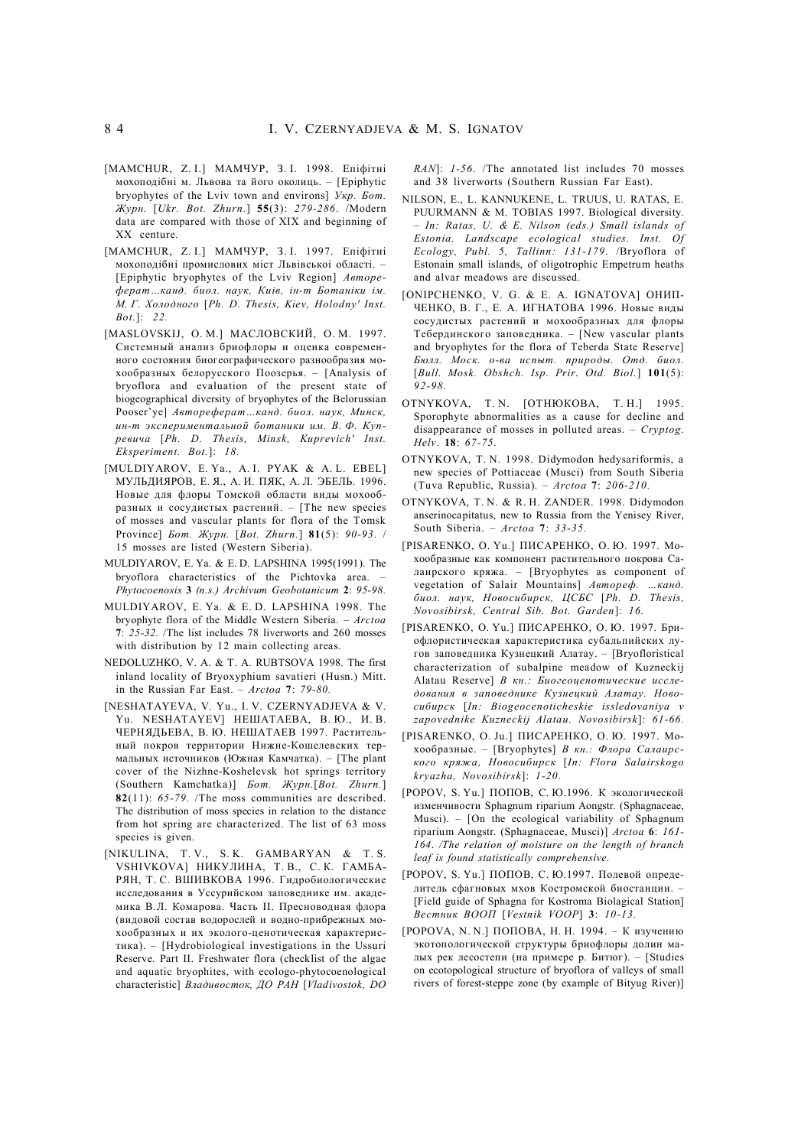- [MAMCHUR, Z. I.] МАМЧУР, З. I. 1998. Епiфiтнi мохоподiбнi м. Львова та його околиць. – [Epiphytic bryophytes of the Lviv town and environs] *Укр. Бот. Журн.* [*Ukr. Bot. Zhurn.*] **55**(3): *279-286*. /Modern data are compared with those of XIX and beginning of XX centure*.*
- [MAMCHUR, Z. I.] МАМЧУР, З. I. 1997. Епiфiтнi мохоподiбнi промислових мiст Львiвськоi областi. – [Epiphytic bryophytes of the Lviv Region] *Автореферат…канд. биол. наук, Киiв, iн-т Ботанiки iм. М. Г. Холодного* [*Ph. D. Thesis, Kiev, Holodny' Inst. Bot.*]: *22.*
- [MASLOVSKIJ, O. M.] МАСЛОВСКИЙ, О. М. 1997. Системный анализ бриофлоры и оценка современного состояния биогеографического разнообразия мохообразных белорусского Поозерья. – [Analysis of bryoflora and evaluation of the present state of biogeographical diversity of bryophytes of the Belorussian Pooser'ye] *Автореферат…канд. биол. наук, Минск, ин-т экспериментальной ботаники им. В. Ф. Купревича* [*Ph. D. Thesis, Minsk, Kuprevich' Inst. Eksperiment. Bot.*]: *18.*
- [MULDIYAROV, E. Ya., A. I. PYAK & A. L. EBEL] МУЛЬДИЯРОВ, Е. Я., А. И. ПЯК, А. Л. ЭБЕЛЬ. 1996. Новые для флоры Томской области виды мохообразных и сосудистых растений. – [The new species of mosses and vascular plants for flora of the Tomsk Province] *Бот. Журн.* [*Bot. Zhurn.*] **81**(5): *90-93.* / 15 mosses are listed (Western Siberia).
- MULDIYAROV, E. Ya. & E. D. LAPSHINA 1995(1991). The bryoflora characteristics of the Pichtovka area. – *Phytocoenosis* **3** *(n.s.) Archivum Geobotanicum* **2**: *95-98.*
- MULDIYAROV, E. Ya. & E. D. LAPSHINA 1998. The bryophyte flora of the Middle Western Siberia. – *Arctoa* **7**: *25-32.* /The list includes 78 liverworts and 260 mosses with distribution by 12 main collecting areas.
- NEDOLUZHKO, V. A. & T. A. RUBTSOVA 1998. The first inland locality of Bryoxyphium savatieri (Husn.) Mitt. in the Russian Far East. – *Arctoa* **7**: *79-80.*
- [NESHATAYEVA, V. Yu., I. V. CZERNYADJEVA & V. Yu. NESHATAYEV] НЕШАТАЕВА, В. Ю., И. В. ЧЕРНЯДЬЕВА, В. Ю. НЕШАТАЕВ 1997. Растительный покров территории Нижне-Кошелевских термальных источников (Южная Камчатка). – [The plant cover of the Nizhne-Koshelevsk hot springs territory (Southern Kamchatka)] *Бот. Журн.*[*Bot. Zhurn.*] **82**(11): *65-79.* /The moss communities are described. The distribution of moss species in relation to the distance from hot spring are characterized. The list of 63 moss species is given.
- [NIKULINA, T. V., S. K. GAMBARYAN & T. S. VSHIVKOVA] НИКУЛИНА, Т. В., С. К. ГАМБА-РЯН, Т. С. ВШИВКОВА 1996. Гидробиологические исследования в Уссурийском заповеднике им. академика В.Л. Комарова. Часть II. Пресноводная флора (видовой состав водорослей и водно-прибрежных мохообразных и их эколого-ценотическая характеристика). – [Hydrobiological investigations in the Ussuri Reserve. Part II. Freshwater flora (checklist of the algae and aquatic bryophites, with ecologo-phytocoenological characteristic] *Владивосток, ДО РАН* [*Vladivostok, DO*

*RAN*]: *1-56*. /The annotated list includes 70 mosses and 38 liverworts (Southern Russian Far East).

- NILSON, E., L. KANNUKENE, L. TRUUS, U. RATAS, E. PUURMANN & M. TOBIAS 1997. Biological diversity. – *In: Ratas, U. & E. Nilson (eds.) Small islands of Estonia. Landscape ecological studies. Inst. Of Ecology, Publ. 5, Tallinn: 131-179*. /Bryoflora of Estonain small islands, of oligotrophic Empetrum heaths and alvar meadows are discussed.
- [ONIPCHENKO, V. G. & E. A. IGNATOVA] ОНИП-ЧЕНКО, В. Г., Е. А. ИГНАТОВА 1996. Новые виды сосудистых растений и мохообразных для флоры Тебердинского заповедника. – [New vascular plants and bryophytes for the flora of Teberda State Reserve] *Бюлл. Моск. о-ва испыт. природы. Отд. биол.* [*Bull. Mosk. Obshch. Isp. Prir. Otd. Biol.*] **101**(5): *92-98.*
- OTNYKOVA, T. N. [ОТНЮКОВА, Т. Н.] 1995. Sporophyte abnormalities as a cause for decline and disappearance of mosses in polluted areas. – *Cryptog. Helv*. **18**: *67-75.*
- OTNYKOVA, T. N. 1998. Didymodon hedysariformis, a new species of Pottiaceae (Musci) from South Siberia (Tuva Republic, Russia). – *Arctoa* **7**: *206-210.*
- OTNYKOVA, T. N. & R. H. ZANDER. 1998. Didymodon anserinocapitatus, new to Russia from the Yenisey River, South Siberia. – *Arctoa* **7**: *33-35.*
- [PISARENKO, O. Yu.] ПИСАРЕНКО, О. Ю. 1997. Мохообразные как компонент растительного покрова Салаирского кряжа. – [Bryophytes as component of vegetation of Salair Mountains] *Автореф. …канд. биол. наук, Новосибирск, ЦСБС* [*Ph. D. Thesis, Novosibirsk, Central Sib. Bot. Garden*]: *16.*
- [PISARENKO, O. Yu.] ПИСАРЕНКО, О. Ю. 1997. Бриофлористическая характеристика субальпийских лугов заповедника Кузнецкий Алатау. – [Bryofloristical characterization of subalpine meadow of Kuzneckij Alatau Reserve] *В кн.: Биогеоценотические исследования в заповеднике Кузнецкий Алатау. Новосибирск* [*In: Biogeocenoticheskie issledovaniya v zapovednike Kuzneckij Alatau. Novosibirsk*]: *61-66.*
- [PISARENKO, O. Ju.] ПИСАРЕНКО, О. Ю. 1997. Мохообразные. – [Bryophytes] *В кн.: Флора Салаирского кряжа, Новосибирск* [*In: Flora Salairskogo kryazha, Novosibirsk*]: *1-20.*
- [POPOV, S. Yu.] ПОПОВ, С. Ю.1996. К экологической изменчивости Sphagnum riparium Aongstr. (Sphagnaceae, Musci). – [On the ecological variability of Sphagnum riparium Aongstr. (Sphagnaceae, Musci)] *Arctoa* **6**: *161- 164*. */The relation of moisture on the length of branch leaf is found statistically comprehensive.*
- [POPOV, S. Yu.] ПОПОВ, С. Ю.1997. Полевой определитель сфагновых мхов Костромской биостанции. – [Field guide of Sphagna for Kostroma Biolagical Station] *Вестник ВООП* [*Vestnik VOOP*] **3**: *10-13.*
- [POPOVA, N. N.] ПОПОВА, Н. Н. 1994. К изучению экотопологической структуры бриофлоры долин малых рек лесостепи (на примере р. Битюг). – [Studies on ecotopological structure of bryoflora of valleys of small rivers of forest-steppe zone (by example of Bityug River)]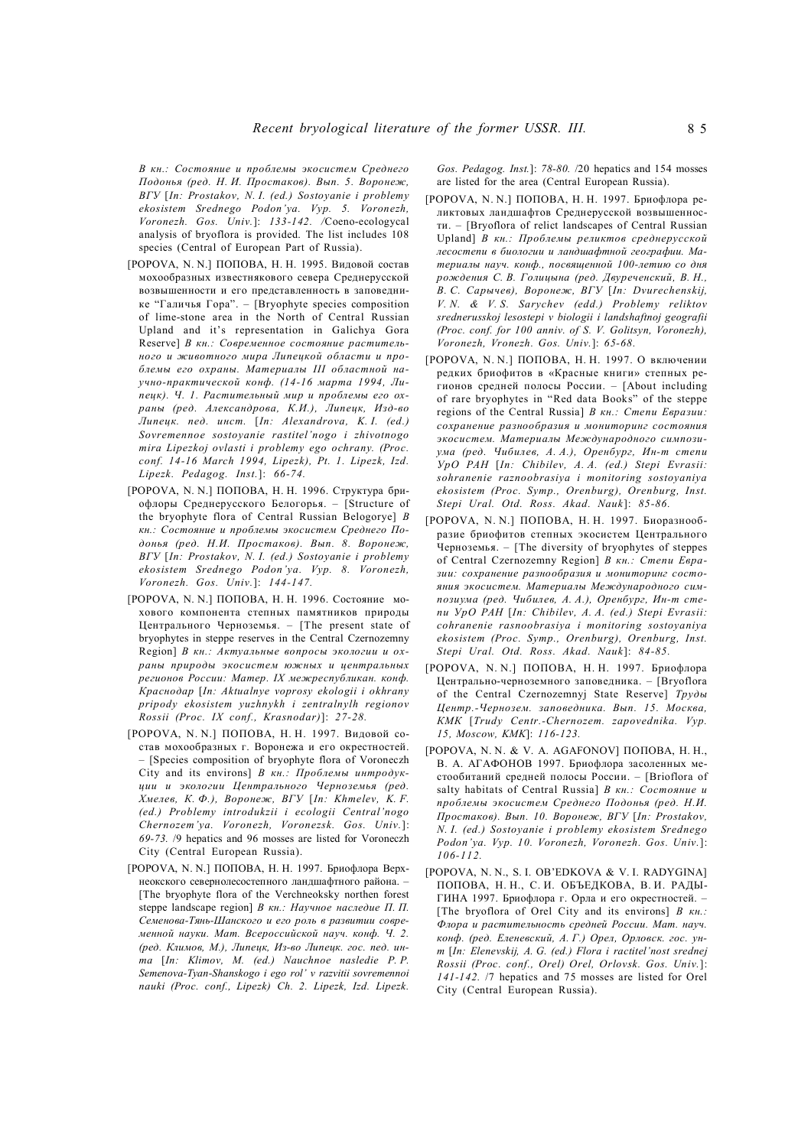*В кн.: Состояние и проблемы экосистем Среднего Подонья (ред. Н. И. Простаков). Вып. 5. Воронеж, ВГУ* [*In: Prostakov, N. I. (ed.) Sostoyanie i problemy ekosistem Srednego Podon'ya. Vyp. 5. Voronezh, Voronezh. Gos. Univ.*]: *133-142. /*Coeno-ecologycal analysis of bryoflora is provided. The list includes 108 species (Central of European Part of Russia).

- [POPOVA, N. N.] ПОПОВА, Н. Н. 1995. Видовой состав мохообразных известнякового севера Среднерусской возвышенности и его представленность в заповеднике "Галичья Гора". – [Bryophyte species composition of lime-stone area in the North of Central Russian Upland and it's representation in Galichya Gora Reserve] *В кн.: Современное состояние растительного и животного мира Липецкой области и проблемы его охраны. Материалы III областной научно-практической конф. (14-16 марта 1994, Липецк). Ч. 1. Растительный мир и проблемы его охраны (ред. Александрова, К.И.), Липецк, Изд-во Липецк. пед. инст.* [*In: Alexandrova, K. I. (ed.) Sovremennoe sostoyanie rastitel'nogo i zhivotnogo mira Lipezkoj ovlasti i problemy ego ochrany. (Proc. conf. 14-16 March 1994, Lipezk), Pt. 1. Lipezk, Izd. Lipezk. Pedagog. Inst.*]: *66-74.*
- [POPOVA, N. N.] ПОПОВА, Н. Н. 1996. Структура бриофлоры Среднерусского Белогорья. – [Structure of the bryophyte flora of Central Russian Belogorye] *В кн.: Состояние и проблемы экосистем Среднего Подонья (ред. Н.И. Простаков). Вып. 8. Воронеж, ВГУ* [*In: Prostakov, N. I. (ed.) Sostoyanie i problemy ekosistem Srednego Podon'ya. Vyp. 8. Voronezh, Voronezh. Gos. Univ.*]: *144-147.*
- [POPOVA, N. N.] ПОПОВА, Н. Н. 1996. Состояние мохового компонента степных памятников природы Центрального Черноземья. – [The present state of bryophytes in steppe reserves in the Central Czernozemny Region] *В кн.: Актуальные вопросы экологии и охраны природы экосистем южных и центральных регионов России: Матер. IX межреспубликан. конф. Краснодар* [*In: Aktualnye voprosy ekologii i okhrany pripody ekosistem yuzhnykh i zentralnylh regionov Rossii (Proc. IX conf., Krasnodar)*]: *27-28.*
- [POPOVA, N. N.] ПОПОВА, Н. Н. 1997. Видовой состав мохообразных г. Воронежа и его окрестностей. – [Species composition of bryophyte flora of Voroneczh City and its environs] *В кн.: Проблемы интродукции и экологии Центрального Черноземья (ред. Хмелев, К. Ф.), Воронеж, ВГУ* [*In: Khmelev, K. F. (ed.) Problemy introdukzii i ecologii Central'nogo Chernozem'ya. Voronezh, Voronezsk. Gos. Univ.*]: *69-73.* /9 hepatics and 96 mosses are listed for Voroneczh City (Central European Russia).
- [POPOVA, N. N.] ПОПОВА, Н. Н. 1997. Бриофлора Верхнеокского севернолесостепного ландшафтного района. – [The bryophyte flora of the Verchneoksky northen forest steppe landscape region] *В кн.: Научное наследие П. П. Семенова-Тянь-Шанского и его роль в развитии современной науки. Мат. Всероссийской науч. конф. Ч. 2. (ред. Климов, М.), Липецк, Из-во Липецк. гос. пед. инта* [*In: Klimov, M. (ed.) Nauchnoe nasledie P. P. Semenova-Tyan-Shanskogo i ego rol' v razvitii sovremennoi nauki (Proc. conf., Lipezk) Ch. 2. Lipezk, Izd. Lipezk.*

*Gos. Pedagog. Inst.*]: *78-80.* /20 hepatics and 154 mosses are listed for the area (Central European Russia).

- [POPOVA, N. N.] ПОПОВА, Н. Н. 1997. Бриофлора реликтовых ландшафтов Среднерусской возвышенности. – [Bryoflora of relict landscapes of Central Russian Upland] *В кн.: Проблемы реликтов среднерусской лесостепи в биологии и ландшафтной географии. Материалы науч. конф., посвященной 100-летию со дня рождения С. В. Голицына (ред. Двуреченский, В. Н., В. С. Сарычев), Воронеж, ВГУ* [*In: Dvurechenskij, V. N. & V. S. Sarychev (edd.) Problemy reliktov srednerusskoj lesostepi v biologii i landshaftnoj geografii (Proc. conf. for 100 anniv. of S. V. Golitsyn, Voronezh), Voronezh, Vronezh. Gos. Univ.*]: *65-68.*
- [POPOVA, N. N.] ПОПОВА, Н. Н. 1997. О включении редких бриофитов в «Красные книги» степных регионов средней полосы России. – [About including of rare bryophytes in "Red data Books" of the steppe regions of the Central Russia] *В кн.: Степи Евразии: сохранение разнообразия и мониторинг состояния экосистем. Материалы Международного симпозиума (ред. Чибилев, А. А.), Оренбург, Ин-т степи УрО РАН* [*In: Chibilev, A. A. (ed.) Stepi Evrasii: sohranenie raznoobrasiya i monitoring sostoyaniya ekosistem (Proc. Symp., Orenburg), Orenburg, Inst. Stepi Ural. Otd. Ross. Akad. Nauk*]: *85-86.*
- [POPOVA, N. N.] ПОПОВА, Н. Н. 1997. Биоразнообразие бриофитов степных экосистем Центрального Черноземья. – [The diversity of bryophytes of steppes of Central Czernozemny Region] *В кн.: Степи Евразии: сохранение разнообразия и мониторинг состояния экосистем. Материалы Международного симпозиума (ред. Чибилев, А. А.), Оренбург, Ин-т степи УрО РАН* [*In: Chibilev, A. A. (ed.) Stepi Evrasii: cohranenie rasnoobrasiya i monitoring sostoyaniya ekosistem (Proc. Symp., Orenburg), Orenburg, Inst. Stepi Ural. Otd. Ross. Akad. Nauk*]: *84-85.*
- [POPOVA, N. N.] ПОПОВА, Н. Н. 1997. Бриофлора Центрально-черноземного заповедника. – [Bryoflora of the Central Czernozemnyj State Reserve] *Труды Центр.-Чернозем. заповедника. Вып. 15. Москва, КМК* [*Trudy Centr.-Chernozem. zapovednika. Vyp. 15, Moscow, KMK*]: *116-123.*
- [POPOVA, N. N. & V. A. AGAFONOV] ПОПОВА, Н. Н., В. А. АГАФОНОВ 1997. Бриофлора засоленных местообитаний средней полосы России. – [Brioflora of salty habitats of Central Russia] *В кн.: Состояние и проблемы экосистем Среднего Подонья (ред. Н.И. Простаков). Вып. 10. Воронеж, ВГУ* [*In: Prostakov, N. I. (ed.) Sostoyanie i problemy ekosistem Srednego Podon'ya. Vyp. 10. Voronezh, Voronezh. Gos. Univ.*]: *106-112.*
- [POPOVA, N. N., S. I. OB'EDKOVA & V. I. RADYGINA] ПОПОВА, Н. Н., C. И. ОБЪЕДКОВА, В. И. РАДЫ-ГИНА 1997. Бриофлора г. Орла и его окрестностей. – [The bryoflora of Orel City and its environs] *В кн.: Флора и растительность средней России. Мат. науч. конф. (ред. Еленевский, А. Г.) Орел, Орловск. гос. унт* [*In: Elenevskij, A. G. (ed.) Flora i ractitel'nost srednej Rossii (Proc. conf., Orel) Orel, Orlovsk. Gos. Univ.*]: *141-142.* /7 hepatics and 75 mosses are listed for Orel City (Central European Russia).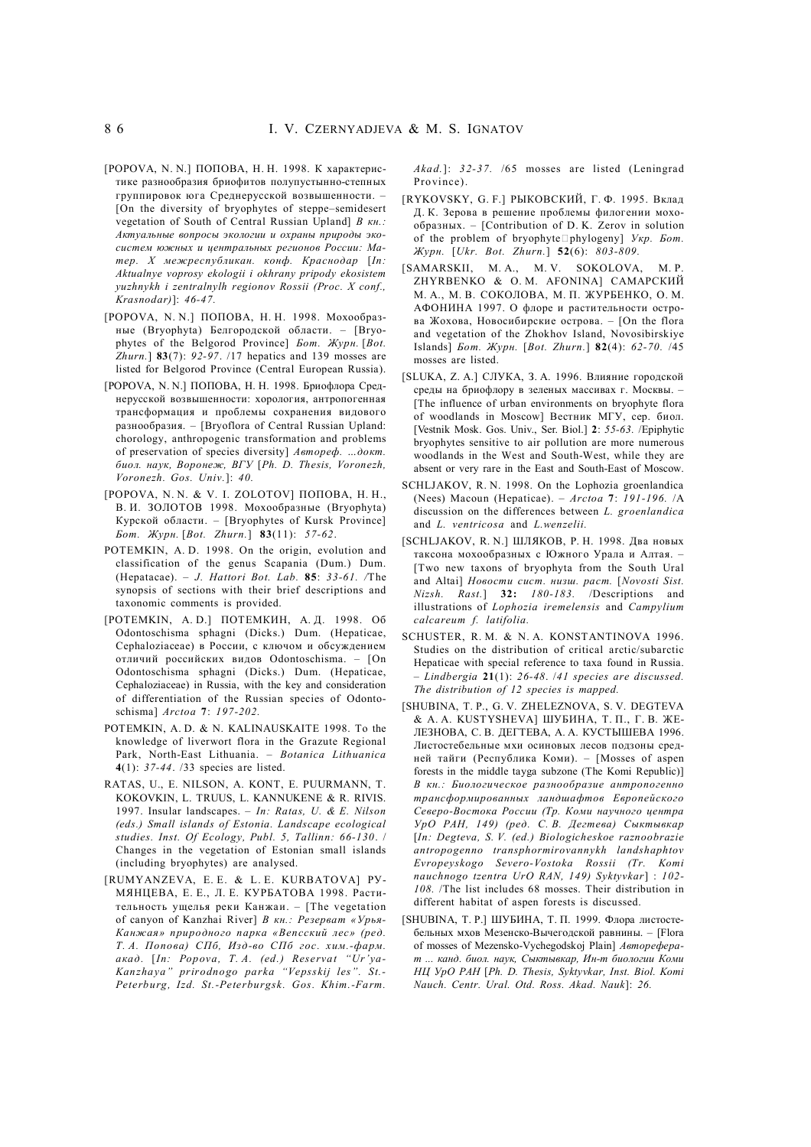- [POPOVA, N. N.] ПОПОВА, Н. Н. 1998. К характеристике разнообразия бриофитов полупустынно-степных группировок юга Среднерусской возвышенности. – [On the diversity of bryophytes of steppe–semidesert vegetation of South of Central Russian Upland] *В кн.: Актуальные вопросы экологии и охраны природы экосистем южных и центральных регионов России: Матер. X межреспубликан. конф. Краснодар* [*In: Aktualnye voprosy ekologii i okhrany pripody ekosistem yuzhnykh i zentralnylh regionov Rossii (Proc. X conf., Krasnodar)*]: *46-47.*
- [POPOVA, N. N.] ПОПОВА, Н. Н. 1998. Мохообразные (Bryophyta) Белгородской области. – [Bryophytes of the Belgorod Province] *Бот. Журн.* [*Bot. Zhurn.*] **83**(7): *92-97*. /17 hepatics and 139 mosses are listed for Belgorod Province (Central European Russia).
- [POPOVA, N. N.] ПОПОВА, Н. Н. 1998. Бриофлора Среднерусской возвышенности: хорология, антропогенная трансформация и проблемы сохранения видового разнообразия. – [Bryoflora of Central Russian Upland: chorology, anthropogenic transformation and problems of preservation of species diversity] *Автореф. …докт. биол. наук, Воронеж, ВГУ* [*Ph. D. Thesis, Voronezh, Voronezh. Gos. Univ.*]: *40.*
- [POPOVA, N. N. & V. I. ZOLOTOV] ПОПОВА, Н. Н., В. И. ЗОЛОТОВ 1998. Мохообразные (Bryophyta) Курской области. – [Bryophytes of Kursk Province] *Бот. Журн.* [*Bot. Zhurn.*] **83**(11): *57-62*.
- POTEMKIN, A. D. 1998. On the origin, evolution and classification of the genus Scapania (Dum.) Dum. (Hepatacae). – *J. Hattori Bot. Lab.* **85**: *33-61. /*The synopsis of sections with their brief descriptions and taxonomic comments is provided.
- [POTEMKIN, A. D.] ПОТЕМКИН, А. Д. 1998. Об Odontoschisma sphagni (Dicks.) Dum. (Hepaticae, Cephaloziaceae) в России, с ключом и обсуждением отличий российских видов Odontoschisma. – [On Odontoschisma sphagni (Dicks.) Dum. (Hepaticae, Cephaloziaceae) in Russia, with the key and consideration of differentiation of the Russian species of Odontoschisma] *Arctoa* **7**: *197-202.*
- POTEMKIN, A. D. & N. KALINAUSKAITE 1998. To the knowledge of liverwort flora in the Grazute Regional Park, North-East Lithuania. – *Botanica Lithuanica* **4**(1): *37-44*. /33 species are listed.
- RATAS, U., E. NILSON, A. KONT, E. PUURMANN, T. KOKOVKIN, L. TRUUS, L. KANNUKENE & R. RIVIS. 1997. Insular landscapes. – *In: Ratas, U. & E. Nilson (eds.) Small islands of Estonia. Landscape ecological studies. Inst. Of Ecology, Publ. 5, Tallinn: 66-130*. / Changes in the vegetation of Estonian small islands (including bryophytes) are analysed.
- [RUMYANZEVA, E. E. & L. E. KURBATOVA] РУ-МЯНЦЕВА, Е. Е., Л. Е. КУРБАТОВА 1998. Растительность ущелья реки Канжаи. – [The vegetation of canyon of Kanzhai River] *В кн.: Резерват «Урья-Канжая» природного парка «Вепсский лес» (ред. Т. А. Попова) СПб, Изд-во СПб гос. хим.-фарм. акад.* [*In: Popova, T. A. (ed.) Reservat "Ur'ya-Kanzhaya" prirodnogo parka "Vepsskij les". St.- Peterburg, Izd. St.-Peterburgsk. Gos. Khim.-Farm.*

*Akad.*]: *32-37.* /65 mosses are listed (Leningrad Province).

- [RYKOVSKY, G. F.] РЫКОВСКИЙ, Г. Ф. 1995. Вклад Д. К. Зерова в решение проблемы филогении мохообразных. – [Contribution of D. K. Zerov in solution of the problem of bryophytephylogeny] *Укр. Бот. Журн.* [*Ukr. Bot. Zhurn.*] **52**(6): *803-809.*
- [SAMARSKII, M. A., M. V. SOKOLOVA, M. P. ZHYRBENKO & O. M. AFONINA] САМАРСКИЙ М. А., М. В. СОКОЛОВА, М. П. ЖУРБЕНКО, О. М. АФОНИНА 1997. О флоре и растительности острова Жохова, Новосибирские острова. – [On the flora and vegetation of the Zhokhov Island, Novosibirskiye Islands] *Бот. Журн.* [*Bot. Zhurn.*] **82**(4): *62-70.* /45 mosses are listed.
- [SLUKA, Z. A.] СЛУКА, З. А. 1996. Влияние городской среды на бриофлору в зеленых массивах г. Москвы. – [The influence of urban environments on bryophyte flora of woodlands in Moscow] Вестник МГУ, сер. биол. [Vestnik Mosk. Gos. Univ., Ser. Biol.] **2**: *55-63.* /Epiphytic bryophytes sensitive to air pollution are more numerous woodlands in the West and South-West, while they are absent or very rare in the East and South-East of Moscow.
- SCHLJAKOV, R. N. 1998. On the Lophozia groenlandica (Nees) Macoun (Hepaticae). – *Arctoa* **7**: *191-196.* /A discussion on the differences between *L. groenlandica* and *L. ventricosa* and *L.wenzelii.*
- [SCHLJAKOV, R. N.] ШЛЯКОВ, Р. Н. 1998. Два новых таксона мохообразных с Южного Урала и Алтая. – [Two new taxons of bryophyta from the South Ural and Altai] *Новости сист. низш. раст.* [*Novosti Sist. Nizsh. Rast.*] **32:** *180-183.* /Descriptions and illustrations of *Lophozia iremelensis* and *Campylium calcareum f. latifolia.*
- SCHUSTER, R. M. & N. A. KONSTANTINOVA 1996. Studies on the distribution of critical arctic/subarctic Hepaticae with special reference to taxa found in Russia. – *Lindbergia* **21**(1): *26-48*. /*41 species are discussed. The distribution of 12 species is mapped.*
- [SHUBINA, T. P., G. V. ZHELEZNOVA, S. V. DEGTEVA & A. A. KUSTYSHEVA] ШУБИНА, Т. П., Г. В. ЖЕ-ЛЕЗНОВА, С. В. ДЕГТЕВА, А. А. КУСТЫШЕВА 1996. Листостебельные мхи осиновых лесов подзоны средней тайги (Республика Коми). – [Mosses of aspen forests in the middle tayga subzone (The Komi Republic)] *В кн.: Биологическое разнообразие антропогенно трансформированных ландшафтов Европейского Северо-Востока России (Тр. Коми научного центра УрО РАН, 149) (ред. С. В. Дегтева) Сыктывкар* [*In: Degteva, S. V. (ed.) Biologicheskoe raznoobrazie antropogenno transphormirovannykh landshaphtov Evropeyskogo Severo-Vostoka Rossii (Tr. Komi nauchnogo tzentra UrO RAN, 149) Syktyvkar*] : *102- 108.* /The list includes 68 mosses. Their distribution in different habitat of aspen forests is discussed.
- [SHUBINA, T. P.] ШУБИНА, Т. П. 1999. Флора листостебельных мхов Мезенско-Вычегодской равнины. – [Flora of mosses of Mezensko-Vychegodskoj Plain] *Автореферат ... канд. биол. наук, Сыктывкар, Ин-т биологии Коми НЦ УрО РАН* [*Ph. D. Thesis, Syktyvkar, Inst. Biol. Komi Nauch. Centr. Ural. Otd. Ross. Akad. Nauk*]: *26.*